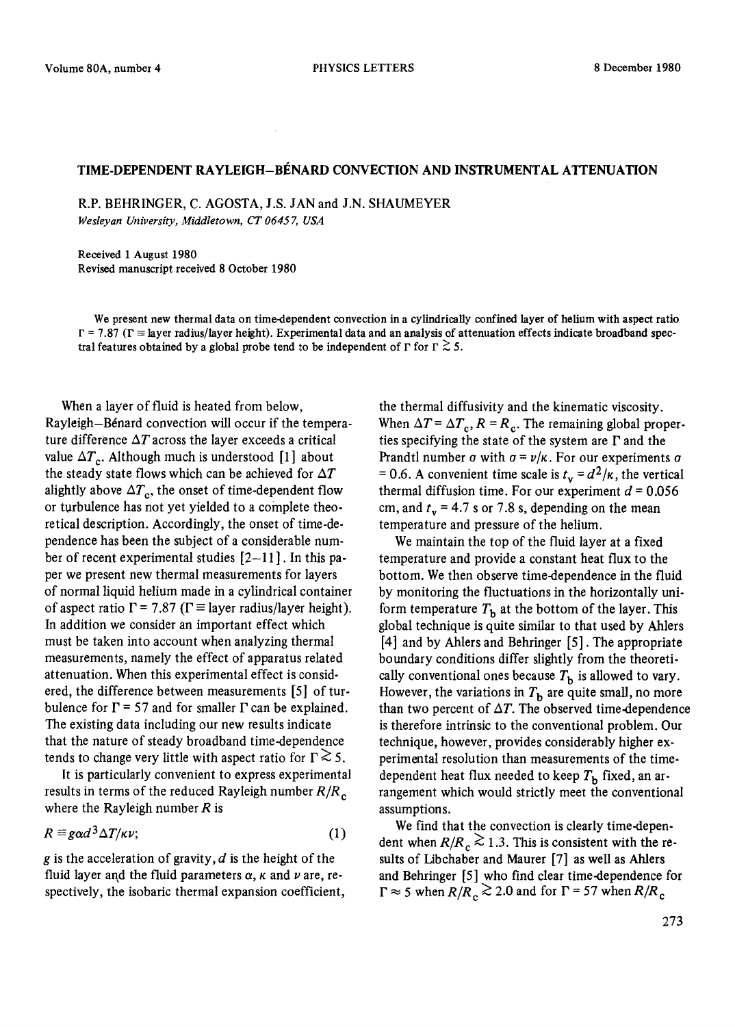## TIME-DEPENDENT RAYLEIGH-BÉNARD CONVECTION AND INSTRUMENTAL ATTENUATION

R.P. BEHRINGER, C. AGOSTA, J.S. JAN and J.N. SHAUMEYER *Wesleyan University, Middletown, CT 06457, USA* 

Received 1 August 1980 Revised manuscript received 8 October 1980

We present new thermal data on time-dependent convection in a cylindrically confined layer of helium with aspect ratio  $\Gamma = 7.87$  ( $\Gamma \equiv$  layer radius/layer height). Experimental data and an analysis of attenuation effects indicate broadband spectral features obtained by a global probe tend to be independent of  $\Gamma$  for  $\Gamma \gtrsim 5$ .

When a layer of fluid is heated from below, Rayleigh-B6nard convection will occur if the temperature difference  $\Delta T$  across the layer exceeds a critical value  $\Delta T_c$ . Although much is understood [1] about the steady state flows which can be achieved for  $\Delta T$ alightly above  $\Delta T_c$ , the onset of time-dependent flow or turbulence has not yet yielded to a complete theoretical description. Accordingly, the onset of time-dependence has been the subject of a considerable number of recent experimental studies  $[2-11]$ . In this paper we present new thermal measurements for layers of normal liquid helium made in a cylindrical container of aspect ratio  $\Gamma$  = 7.87 ( $\Gamma$   $\equiv$  layer radius/layer height). In addition we consider an important effect which must be taken into account when analyzing thermal measurements, namely the effect of apparatus related attenuation. When this experimental effect is considered, the difference between measurements [5] of turbulence for  $\Gamma$  = 57 and for smaller  $\Gamma$  can be explained. The existing data including our new results indicate that the nature of steady broadband time-dependence tends to change very little with aspect ratio for  $\Gamma \ge 5$ .

It is particularly convenient to express experimental results in terms of the reduced Rayleigh number *R/R c*  where the Rayleigh number  $R$  is

$$
R \equiv g \alpha d^3 \Delta T / \kappa \nu; \tag{1}
$$

g is the acceleration of gravity,  $d$  is the height of the fluid layer and the fluid parameters  $\alpha$ ,  $\kappa$  and  $\nu$  are, respectively, the isobaric thermal expansion coefficient,

the thermal diffusivity and the kinematic viscosity. When  $\Delta T = \Delta T_c$ ,  $R = R_c$ . The remaining global properties specifying the state of the system are  $\Gamma$  and the Prandtl number  $\sigma$  with  $\sigma = \nu / \kappa$ . For our experiments  $\sigma$ = 0.6. A convenient time scale is  $t_v = d^2/k$ , the vertical thermal diffusion time. For our experiment  $d = 0.056$ cm, and  $t<sub>v</sub> = 4.7$  s or 7.8 s, depending on the mean temperature and pressure of the helium.

We maintain the top of the fluid layer at a fixed temperature and provide a constant heat flux to the bottom. We then observe time-dependence in the fluid by monitoring the fluctuations in the horizontally uniform temperature  $T<sub>h</sub>$  at the bottom of the layer. This global technique is quite similar to that used by Ahlers [4] and by Ahlers and Behringer [5]. The appropriate boundary conditions differ slightly from the theoretically conventional ones because  $T<sub>b</sub>$  is allowed to vary. However, the variations in  $T<sub>b</sub>$  are quite small, no more than two percent of  $\Delta T$ . The observed time-dependence is therefore intrinsic to the conventional problem. Our technique, however, provides considerably higher experimental resolution than measurements of the timedependent heat flux needed to keep  $T<sub>b</sub>$  fixed, an arrangement which would strictly meet the conventional assumptions.

We find that the convection is clearly time-dependent when  $R/R_c \gtrsim 1.3$ . This is consistent with the resuits of Libchaber and Maurer [7] as well as Ahlers and Behringer [5] who find clear time-dependence for  $\Gamma \approx 5$  when  $R/R_c \gtrsim 2.0$  and for  $\Gamma$  = 57 when  $R/R_c$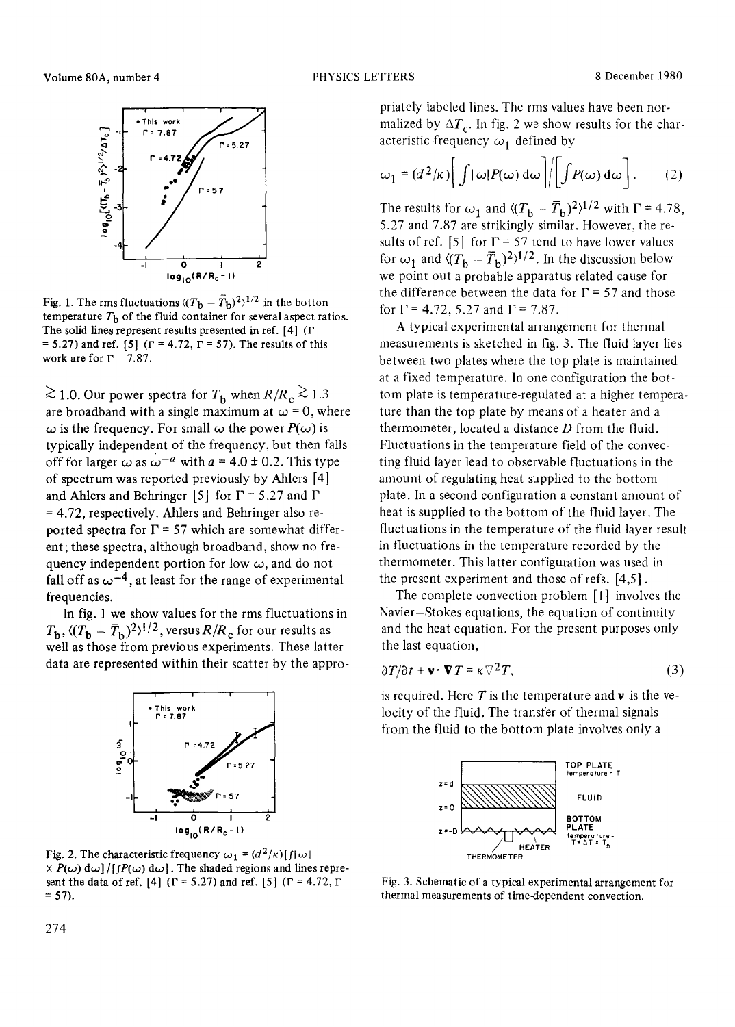

Fig. 1. The rms fluctuations  $\langle (T_{\rm b} - T_{\rm b})^2 \rangle^{1/2}$  in the botton temperature  $T<sub>b</sub>$  of the fluid container for several aspect ratios. The solid lines represent results presented in ref.  $[4]$  ( $\Gamma$ = 5.27) and ref. [5] ( $\Gamma$  = 4.72,  $\Gamma$  = 57). The results of this work are for  $\Gamma = 7.87$ .

 $\gtrsim$  1.0. Our power spectra for T<sub>b</sub> when  $R/R_c \gtrsim 1.3$ are broadband with a single maximum at  $\omega = 0$ , where  $\omega$  is the frequency. For small  $\omega$  the power  $P(\omega)$  is typically independent of the frequency, but then falls off for larger  $\omega$  as  $\omega^{-a}$  with  $a = 4.0 \pm 0.2$ . This type of spectrum was reported previously by Ahlers [4] and Ahlers and Behringer [5] for  $\Gamma$  = 5.27 and  $\Gamma$  $= 4.72$ , respectively. Ahlers and Behringer also reported spectra for  $\Gamma$  = 57 which are somewhat different; these spectra, although broadband, show no frequency independent portion for low  $\omega$ , and do not fall off as  $\omega^{-4}$ , at least for the range of experimental frequencies.

In fig. 1 we show values for the rms fluctuations in  $T_{\rm b}$ ,  $\langle (T_{\rm b} - \bar{T}_{\rm b})^2 \rangle^{1/2}$ , versus  $R/R_{\rm c}$  for our results as well as those from previous experiments. These latter data are represented within their scatter by the appro-



Fig. 2. The characteristic frequency  $\omega_1 = (d^2/\kappa) [f(\omega)]$  $X P(\omega) d\omega$  | ( $[P(\omega) d\omega]$ . The shaded regions and lines represent the data of ref. [4] ( $\Gamma$  = 5.27) and ref. [5] ( $\Gamma$  = 4.72,  $\Gamma$ )  $= 57$ ).

priately labeled lines. The rms values have been normalized by  $\Delta T_c$ . In fig. 2 we show results for the characteristic frequency  $\omega_1$  defined by

$$
\omega_1 = (d^2/\kappa) \bigg[ \int |\omega| P(\omega) d\omega \bigg] / \bigg[ \int P(\omega) d\omega \bigg]. \qquad (2)
$$

The results for  $\omega_1$  and  $\langle (T_b - \overline{T}_b)^2 \rangle^{1/2}$  with  $\Gamma = 4.78$ , 5.27 and 7.87 are strikingly similar. However, the results of ref. [5] for  $\Gamma$  = 57 tend to have lower values for  $\omega_1$  and  $\langle (T_{\rm b} - \overline{T}_{\rm b})^2 \rangle^{1/2}$ . In the discussion below we point out a probable apparatus related cause for the difference between the data for  $\Gamma$  = 57 and those for  $\Gamma$  = 4.72, 5.27 and  $\Gamma$  = 7.87.

A typical experimental arrangement for thermal measurements is sketched in fig. 3. The fluid layer lies between two plates where the top plate is maintained at a fixed temperature. In one configuration the bottom plate is temperature-regulated at a higher temperature than the top plate by means of a heater and a thermometer, located a distance  $D$  from the fluid. Fluctuations in the temperature field of the convecting fluid layer lead to observable fluctuations in the amount of regulating heat supplied to the bottom plate. In a second configuration a constant amount of heat is supplied to the bottom of the fluid layer. The fluctuations in the temperature of the fluid layer result in fluctuations in the temperature recorded by the thermometer. This latter configuration was used in the present experiment and those of refs. [4,5].

The complete convection problem [1] involves the Navier-Stokes equations, the equation of continuity and the heat equation. For the present purposes only the last equation,

$$
\frac{\partial T}{\partial t} + \mathbf{v} \cdot \nabla T = \kappa \nabla^2 T,\tag{3}
$$

is required. Here  $T$  is the temperature and  $\bf{v}$  is the velocity of the fluid. The transfer of thermal signals from the fluid to the bottom plate involves only a



Fig. 3. Schematic of a typical experimental arrangement for thermal measurements of time-dependent convection.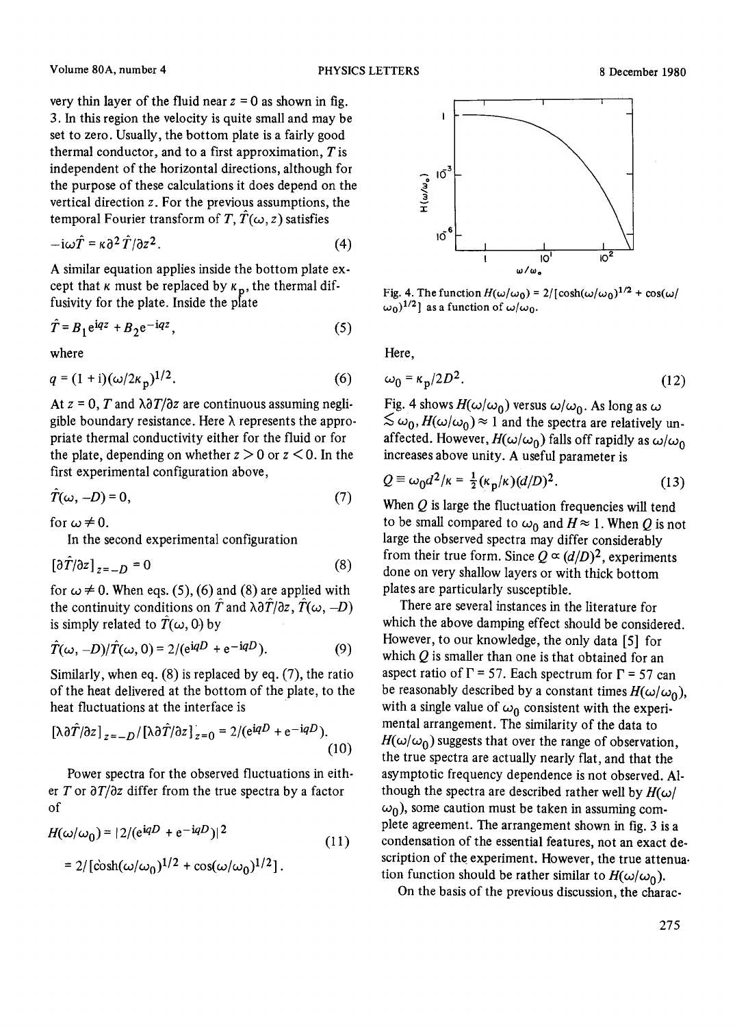very thin layer of the fluid near  $z = 0$  as shown in fig. 3. In this region the velocity is quite small and may be set to zero. Usually, the bottom plate is a fairly good thermal conductor, and to a first approximation,  $T$  is independent of the horizontal directions, although for the purpose of these calculations it does depend on the vertical direction z. For the previous assumptions, the temporal Fourier transform of T,  $\hat{T}(\omega, z)$  satisfies

$$
-i\omega \hat{T} = \kappa \partial^2 \hat{T}/\partial z^2.
$$
 (4)

A similar equation applies inside the bottom plate except that  $\kappa$  must be replaced by  $\kappa_p$ , the thermal diffusivity for the plate. Inside the plate

$$
\hat{T} = B_1 e^{i q z} + B_2 e^{-i q z},\tag{5}
$$

where

$$
q = (1 + i)(\omega/2\kappa_p)^{1/2}.
$$
 (6)

At  $z = 0$ , T and  $\lambda \frac{\partial T}{\partial z}$  are continuous assuming negligible boundary resistance. Here  $\lambda$  represents the appropriate thermal conductivity either for the fluid or for the plate, depending on whether  $z > 0$  or  $z < 0$ . In the first experimental configuration above,

$$
\hat{T}(\omega, -D) = 0,\tag{7}
$$

for  $\omega \neq 0$ .

In the second experimental configuration

$$
\left[\partial T/\partial z\right]_{z=-D} = 0\tag{8}
$$

for  $\omega \neq 0$ . When eqs. (5), (6) and (8) are applied with the continuity conditions on  $\hat{T}$  and  $\lambda \frac{\partial \hat{T}}{\partial z}$ ,  $\hat{T}(\omega, -D)$ is simply related to  $\hat{T}(\omega, 0)$  by

$$
\hat{T}(\omega, -D)/\hat{T}(\omega, 0) = 2/(e^{iqD} + e^{-iqD}).
$$
 (9)

Similarly, when eq. (8) is replaced by eq. (7), the ratio of the heat delivered at the bottom of the plate, to the heat fluctuations at the interface is

$$
\left[\lambda \frac{\partial \hat{T}}{\partial z}\right]_{z=-D} / \left[\lambda \frac{\partial \hat{T}}{\partial z}\right]_{z=0} = 2 / (e^{iqD} + e^{-iqD}). \tag{10}
$$

Power spectra for the observed fluctuations in either T or *aT/Oz* differ from the true spectra by a factor of

$$
H(\omega/\omega_0) = |2/(e^{iqD} + e^{-iqD})|^2
$$
  
= 2/[\cosh((\omega/\omega\_0)^{1/2} + \cos((\omega/\omega\_0)^{1/2})]. (11)



**Fig. 4.** The function  $H(\omega/\omega_0) = 2/[\cosh(\omega/\omega_0)^{1/2} + \cos(\omega/\omega_0)]$  $\omega_0$ <sup>1/2</sup> ] as a function of  $\omega/\omega_0$ .

Here,

$$
\omega_0 = \kappa_p / 2D^2. \tag{12}
$$

Fig. 4 shows  $H(\omega/\omega_0)$  versus  $\omega/\omega_0$ . As long as  $\omega$  $\lesssim \omega_0$ ,  $H(\omega/\omega_0) \approx 1$  and the spectra are relatively unaffected. However,  $H(\omega/\omega_0)$  falls off rapidly as  $\omega/\omega_0$ increases above unity. A useful parameter is

$$
Q \equiv \omega_0 d^2 / \kappa = \frac{1}{2} (\kappa_p / \kappa) (d/D)^2.
$$
 (13)

When  $Q$  is large the fluctuation frequencies will tend to be small compared to  $\omega_0$  and  $H \approx 1$ . When Q is not large the observed spectra may differ considerably from their true form. Since  $Q \propto (d/D)^2$ , experiments done on very shallow layers or with thick bottom plates are particularly susceptible.

There are several instances in the literature for which the above damping effect should be considered. However, to our knowledge, the only data [5] for which  $Q$  is smaller than one is that obtained for an aspect ratio of  $\Gamma$  = 57. Each spectrum for  $\Gamma$  = 57 can be reasonably described by a constant times  $H(\omega/\omega_0)$ , with a single value of  $\omega_0$  consistent with the experimental arrangement. The similarity of the data to  $H(\omega/\omega_0)$  suggests that over the range of observation, the true spectra are actually nearly flat, and that the asymptotic frequency dependence is not observed. Although the spectra are described rather well by  $H(\omega)$  $\omega_0$ ), some caution must be taken in assuming complete agreement. The arrangement shown in fig. 3 is a condensation of the essential features, not an exact description of the experiment. However, the true attenua. tion function should be rather similar to  $H(\omega/\omega_0)$ .

On the basis of the previous discussion, the charac-